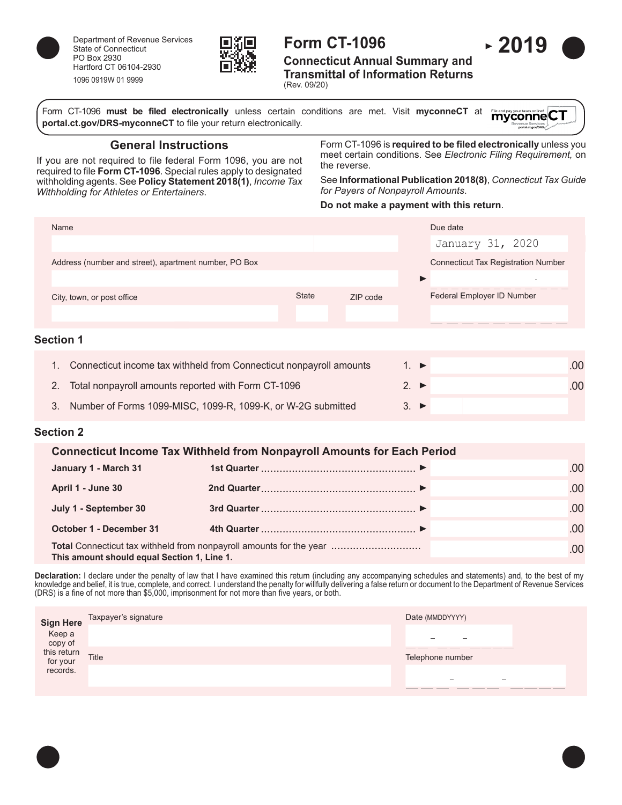

Department of Revenue Services State of Connecticut PO Box 2930 Hartford CT 06104-2930 1096 0919W 01 9999



# **Form CT-1096**

**Connecticut Annual Summary and Transmittal of Information Returns**

(Rev. 09/20)

Form CT-1096 **must be filed electronically** unless certain conditions are met. Visit **myconneCT** at File and pay your taxes online! CT **[portal.ct.gov/DRS-myconneCT](https://portal.ct.gov/DRS-myconneCT)** to file your return electronically.

**General Instructions**

If you are not required to file federal Form 1096, you are not required to file **Form CT-1096**. Special rules apply to designated withholding agents. See **Policy Statement 2018(1)**, *Income Tax Withholding for Athletes or Entertainers*.

Form CT-1096 is **required to be filed electronically** unless you meet certain conditions. See *Electronic Filing Requirement,* on the reverse.

See **Informational Publication 2018(8)**, *Connecticut Tax Guide for Payers of Nonpayroll Amounts*.

## **Do not make a payment with this return**.

| Name                                                  |              |          | Due date                                   |
|-------------------------------------------------------|--------------|----------|--------------------------------------------|
|                                                       |              |          | January 31, 2020                           |
| Address (number and street), apartment number, PO Box |              |          | <b>Connecticut Tax Registration Number</b> |
|                                                       |              |          | $\sim$                                     |
| City, town, or post office                            | <b>State</b> | ZIP code | Federal Employer ID Number                 |
|                                                       |              |          |                                            |
| \__{!___ 4                                            |              |          |                                            |

## **Section 1**

| 1. Connecticut income tax withheld from Connecticut nonpayroll amounts | $1 \triangleright$ | .00 |
|------------------------------------------------------------------------|--------------------|-----|
| 2. Total nonpayroll amounts reported with Form CT-1096                 | $2 \rightarrow$    | .00 |
| 3. Number of Forms 1099-MISC, 1099-R, 1099-K, or W-2G submitted        | $3 \rightarrow$    |     |

## **Section 2**

| <b>Connecticut Income Tax Withheld from Nonpayroll Amounts for Each Period</b>                                            |  |      |  |  |  |
|---------------------------------------------------------------------------------------------------------------------------|--|------|--|--|--|
| January 1 - March 31                                                                                                      |  | .00. |  |  |  |
| April 1 - June 30                                                                                                         |  | .00. |  |  |  |
| July 1 - September 30                                                                                                     |  | .00. |  |  |  |
| <b>October 1 - December 31</b>                                                                                            |  | .00  |  |  |  |
| <b>Total</b> Connecticut tax withheld from nonpayroll amounts for the year<br>This amount should equal Section 1, Line 1. |  | .00. |  |  |  |

**Declaration:** I declare under the penalty of law that I have examined this return (including any accompanying schedules and statements) and, to the best of my knowledge and belief, it is true, complete, and correct. I understand the penalty for willfully delivering a false return or document to the Department of Revenue Services (DRS) is a fine of not more than \$5,000, imprisonment for not more than five years, or both.

| Keep a<br>copy of<br>this return<br>for your | Sign Here Taxpayer's signature | Date (MMDDYYYY)                                     |
|----------------------------------------------|--------------------------------|-----------------------------------------------------|
|                                              |                                | $\overline{\phantom{0}}$                            |
|                                              | Title                          | ______<br>processing processing<br>Telephone number |
| records.                                     |                                | -<br>$\overline{\phantom{a}}$                       |
|                                              |                                | _______                                             |